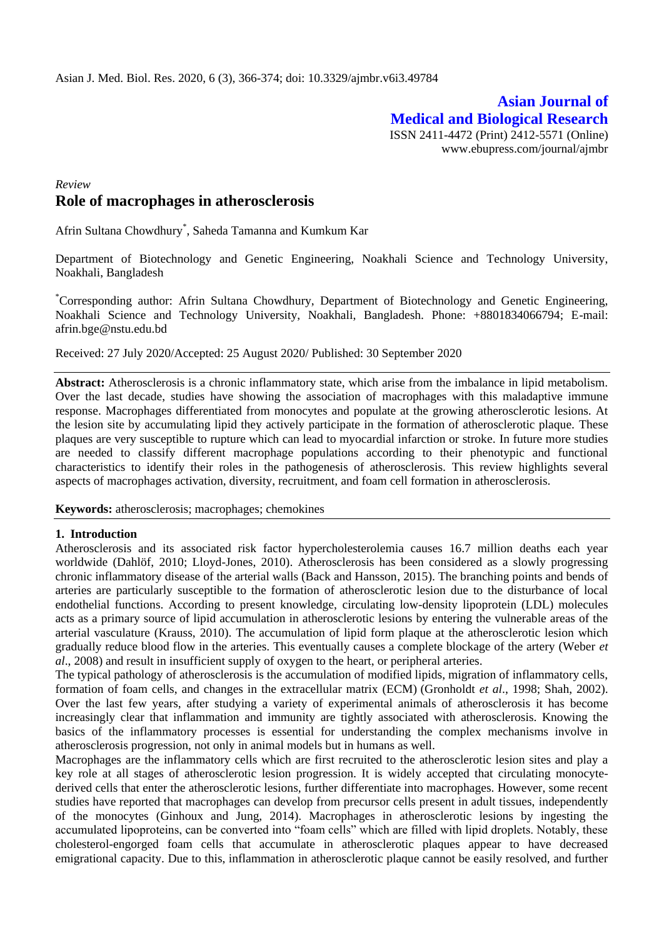# **Asian Journal of Medical and Biological Research** ISSN 2411-4472 (Print) 2412-5571 (Online)

www.ebupress.com/journal/ajmbr

# *Review* **Role of macrophages in atherosclerosis**

Afrin Sultana Chowdhury\* , Saheda Tamanna and Kumkum Kar

Department of Biotechnology and Genetic Engineering, Noakhali Science and Technology University, Noakhali, Bangladesh

\*Corresponding author: Afrin Sultana Chowdhury, Department of Biotechnology and Genetic Engineering, Noakhali Science and Technology University, Noakhali, Bangladesh. Phone: +8801834066794; E-mail: [afrin.bge@nstu.edu.bd](mailto:afrin.bge@nstu.edu.bd)

Received: 27 July 2020/Accepted: 25 August 2020/ Published: 30 September 2020

**Abstract:** Atherosclerosis is a chronic inflammatory state, which arise from the imbalance in lipid metabolism. Over the last decade, studies have showing the association of macrophages with this maladaptive immune response. Macrophages differentiated from monocytes and populate at the growing atherosclerotic lesions. At the lesion site by accumulating lipid they actively participate in the formation of atherosclerotic plaque. These plaques are very susceptible to rupture which can lead to myocardial infarction or stroke. In future more studies are needed to classify different macrophage populations according to their phenotypic and functional characteristics to identify their roles in the pathogenesis of atherosclerosis. This review highlights several aspects of macrophages activation, diversity, recruitment, and foam cell formation in atherosclerosis.

**Keywords:** atherosclerosis; macrophages; chemokines

### **1. Introduction**

Atherosclerosis and its associated risk factor hypercholesterolemia causes 16.7 million deaths each year worldwide (Dahlöf, [20](https://www.nature.com/articles/cr20178#ref-CR2)10; Lloyd-Jones, [20](https://www.nature.com/articles/cr20178#ref-CR2)10). Atherosclerosis has been considered as a slowly progressing chronic inflammatory disease of the arterial walls (Back and Hansson, [20](https://www.nature.com/articles/cr20178#ref-CR2)15). The branching points and bends of arteries are particularly susceptible to the formation of atherosclerotic lesion due to the disturbance of local endothelial functions. According to present knowledge, circulating low-density lipoprotein (LDL) molecules acts as a primary source of lipid accumulation in atherosclerotic lesions by entering the vulnerable areas of the arterial vasculature (Krauss, 2010). The accumulation of lipid form plaque at the atherosclerotic lesion which gradually reduce blood flow in the arteries. This eventually causes a complete blockage of the artery (Weber *et al*., 2008) and result in insufficient supply of oxygen to the heart, or peripheral arteries.

The typical pathology of atherosclerosis is the accumulation of modified lipids, migration of inflammatory cells, formation of foam cells, and changes in the extracellular matrix (ECM) (Gronholdt *et al*., 1998; Shah, 2002). Over the last few years, after studying a variety of experimental animals of atherosclerosis it has become increasingly clear that inflammation and immunity are tightly associated with atherosclerosis. Knowing the basics of the inflammatory processes is essential for understanding the complex mechanisms involve in atherosclerosis progression, not only in animal models but in humans as well.

Macrophages are the inflammatory cells which are first recruited to the atherosclerotic lesion sites and play a key role at all stages of atherosclerotic lesion progression. It is widely accepted that circulating monocytederived cells that enter the atherosclerotic lesions, further differentiate into macrophages. However, some recent studies have reported that macrophages can develop from precursor cells present in adult tissues, independently of the monocytes (Ginhoux and Jung, 2014). Macrophages in atherosclerotic lesions by ingesting the accumulated lipoproteins, can be converted into "foam cells" which are filled with lipid droplets. Notably, these cholesterol-engorged foam cells that accumulate in atherosclerotic plaques appear to have decreased emigrational capacity. Due to this, inflammation in atherosclerotic plaque cannot be easily resolved, and further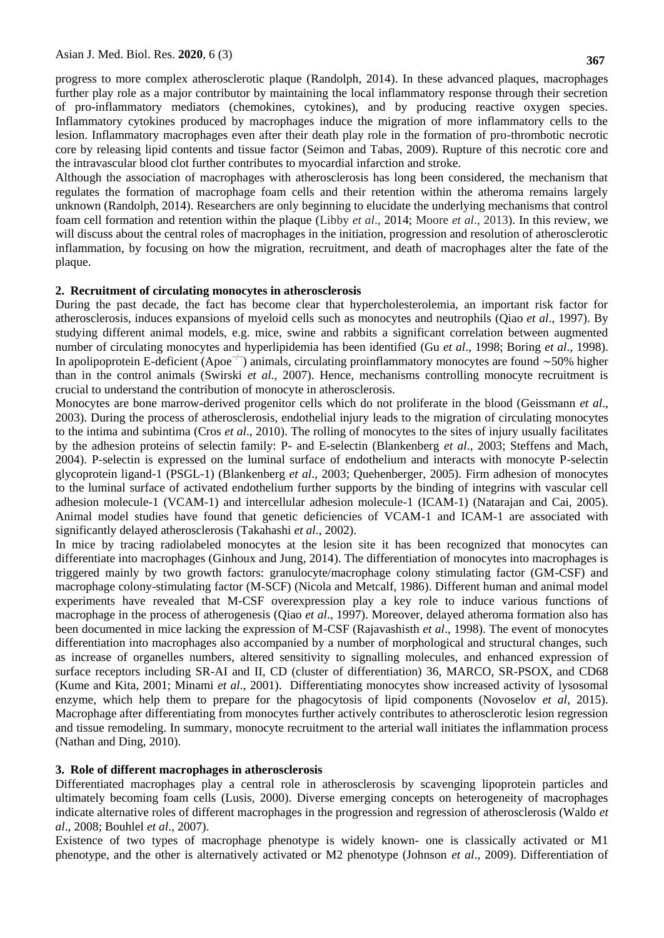progress to more complex atherosclerotic plaque (Randolph, 2014). In these advanced plaques, macrophages further play role as a major contributor by maintaining the local inflammatory response through their secretion of pro-inflammatory mediators (chemokines, cytokines), and by producing reactive oxygen species. Inflammatory cytokines produced by macrophages induce the migration of more inflammatory cells to the lesion. Inflammatory macrophages even after their death play role in the formation of pro-thrombotic necrotic core by releasing lipid contents and tissue factor (Seimon and Tabas, 2009). Rupture of this necrotic core and the intravascular blood clot further contributes to myocardial infarction and stroke.

Although the association of macrophages with atherosclerosis has long been considered, the mechanism that regulates the formation of macrophage foam cells and their retention within the atheroma remains largely unknown (Randolph, 2014). Researchers are only beginning to elucidate the underlying mechanisms that control foam cell formation and retention within the plaque (Libby *et al*., 2014; Moore *et al*., 2013). In this review, we will discuss about the central roles of macrophages in the initiation, progression and resolution of atherosclerotic inflammation, by focusing on how the migration, recruitment, and death of macrophages alter the fate of the plaque.

#### **2. Recruitment of circulating monocytes in atherosclerosis**

During the past decade, the fact has become clear that hypercholesterolemia, an important risk factor for atherosclerosis, induces expansions of myeloid cells such as monocytes and neutrophils (Qiao *et al*., 1997). By studying different animal models, e.g. mice, swine and rabbits a significant correlation between augmented number of circulating monocytes and hyperlipidemia has been identified (Gu *et al*., 1998; Boring *et al*., 1998). In apolipoprotein E-deficient (Apoe<sup>-/-</sup>) animals, circulating proinflammatory monocytes are found ∼50% higher than in the control animals (Swirski *et al.,* 2007). Hence, mechanisms controlling monocyte recruitment is crucial to understand the contribution of monocyte in atherosclerosis.

Monocytes are bone marrow-derived progenitor cells which do not proliferate in the blood (Geissmann *et al*., 2003). During the process of atherosclerosis, endothelial injury leads to the migration of circulating monocytes to the intima and subintima (Cros *et al*., 2010). The rolling of monocytes to the sites of injury usually facilitates by the adhesion proteins of selectin family: P- and E-selectin (Blankenberg *et al*., 2003; Steffens and Mach, 2004). P-selectin is expressed on the luminal surface of endothelium and interacts with monocyte P-selectin glycoprotein ligand-1 (PSGL-1) (Blankenberg *et al*., 2003; Quehenberger, 2005). Firm adhesion of monocytes to the luminal surface of activated endothelium further supports by the binding of integrins with vascular cell adhesion molecule-1 (VCAM-1) and intercellular adhesion molecule-1 (ICAM-1) (Natarajan and Cai, 2005). Animal model studies have found that genetic deficiencies of VCAM-1 and ICAM-1 are associated with significantly delayed atherosclerosis (Takahashi *et al*., 2002).

In mice by tracing radiolabeled monocytes at the lesion site it has been recognized that monocytes can differentiate into macrophages (Ginhoux and Jung, 2014). The differentiation of monocytes into macrophages is triggered mainly by two growth factors: granulocyte/macrophage colony stimulating factor (GM-CSF) and macrophage colony-stimulating factor (M-SCF) (Nicola and Metcalf, 1986). Different human and animal model experiments have revealed that M-CSF overexpression play a key role to induce various functions of macrophage in the process of atherogenesis (Qiao *et al*., 1997). Moreover, delayed atheroma formation also has been documented in mice lacking the expression of M-CSF (Rajavashisth *et al*., 1998). The event of monocytes differentiation into macrophages also accompanied by a number of morphological and structural changes, such as increase of organelles numbers, altered sensitivity to signalling molecules, and enhanced expression of surface receptors including SR-AI and II, CD (cluster of differentiation) 36, MARCO, SR-PSOX, and CD68 (Kume and Kita, 2001; Minami *et al*., 2001). Differentiating monocytes show increased activity of lysosomal enzyme, which help them to prepare for the phagocytosis of lipid components (Novoselov *et al*, 2015). Macrophage after differentiating from monocytes further actively contributes to atherosclerotic lesion regression and tissue remodeling. In summary, monocyte recruitment to the arterial wall initiates the inflammation process (Nathan and Ding, 2010).

### **3. Role of different macrophages in atherosclerosis**

Differentiated macrophages play a central role in atherosclerosis by scavenging lipoprotein particles and ultimately becoming foam cells (Lusis, 2000). Diverse emerging concepts on heterogeneity of macrophages indicate alternative roles of different macrophages in the progression and regression of atherosclerosis (Waldo *et al*., 2008; Bouhlel *et al*., 2007).

Existence of two types of macrophage phenotype is widely known- one is classically activated or M1 phenotype, and the other is alternatively activated or M2 phenotype (Johnson *et al*., 2009). Differentiation of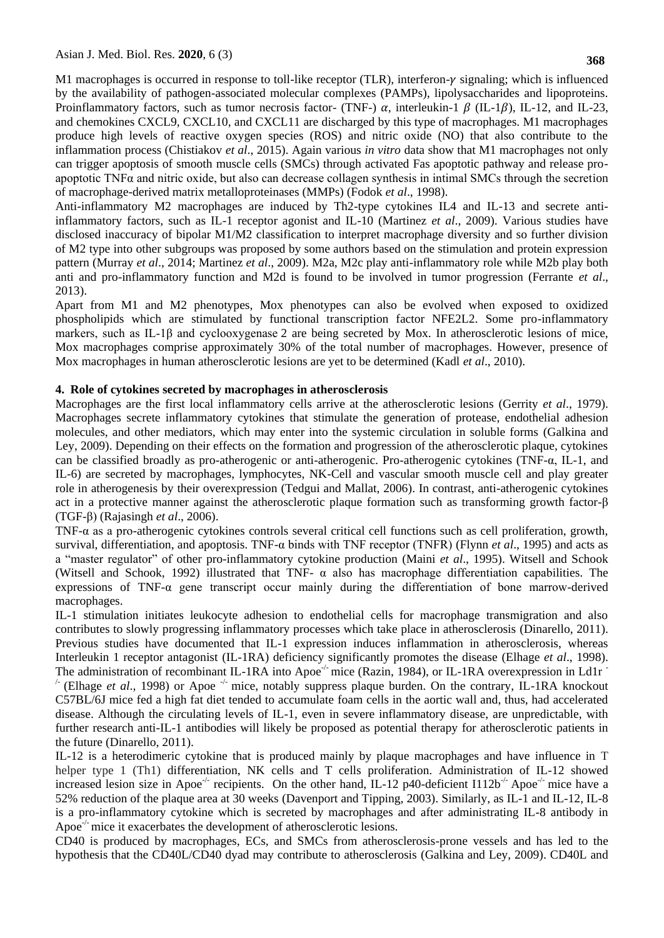M1 macrophages is occurred in response to toll-like receptor (TLR), interferon- $\gamma$  signaling; which is influenced by the availability of pathogen-associated molecular complexes (PAMPs), lipolysaccharides and lipoproteins. Proinflammatory factors, such as tumor necrosis factor- (TNF-)  $\alpha$ , interleukin-1  $\beta$  (IL-1 $\beta$ ), IL-12, and IL-23, and chemokines CXCL9, CXCL10, and CXCL11 are discharged by this type of macrophages. M1 macrophages produce high levels of reactive oxygen species (ROS) and nitric oxide (NO) that also contribute to the inflammation process (Chistiakov *et al*., 2015). Again various *in vitro* data show that M1 macrophages not only can trigger apoptosis of smooth muscle cells (SMCs) through activated Fas apoptotic pathway and release proapoptotic  $TNF\alpha$  and nitric oxide, but also can decrease collagen synthesis in intimal SMCs through the secretion of macrophage-derived matrix metalloproteinases (MMPs) (Fodok *et al*., 1998).

Anti-inflammatory M2 macrophages are induced by Th2-type cytokines IL4 and IL-13 and secrete antiinflammatory factors, such as IL-1 receptor agonist and IL-10 (Martinez *et al*., 2009). Various studies have disclosed inaccuracy of bipolar M1/M2 classification to interpret macrophage diversity and so further division of M2 type into other subgroups was proposed by some authors based on the stimulation and protein expression pattern (Murray *et al*., 2014; Martinez *et al*., 2009). M2a, M2c play anti-inflammatory role while M2b play both anti and pro-inflammatory function and M2d is found to be involved in tumor progression (Ferrante *et al*., 2013).

Apart from M1 and M2 phenotypes, Mox phenotypes can also be evolved when exposed to oxidized phospholipids which are stimulated by functional transcription factor NFE2L2. Some pro-inflammatory markers, such as IL-1 $\beta$  and cyclooxygenase 2 are being secreted by Mox. In atherosclerotic lesions of mice, Mox macrophages comprise approximately 30% of the total number of macrophages. However, presence of Mox macrophages in human atherosclerotic lesions are yet to be determined (Kadl *et al*., 2010).

### **4. Role of cytokines secreted by macrophages in atherosclerosis**

Macrophages are the first local inflammatory cells arrive at the atherosclerotic lesions (Gerrity *et al*., 1979). Macrophages secrete inflammatory cytokines that stimulate the generation of protease, endothelial adhesion molecules, and other mediators, which may enter into the systemic circulation in soluble forms (Galkina and Ley, 2009). Depending on their effects on the formation and progression of the atherosclerotic plaque, cytokines can be classified broadly as pro-atherogenic or anti-atherogenic. Pro-atherogenic cytokines (TNF-α, IL-1, and IL-6) are secreted by macrophages, lymphocytes, NK-Cell and vascular smooth muscle cell and play greater role in atherogenesis by their overexpression (Tedgui and Mallat, 2006). In contrast, anti-atherogenic cytokines act in a protective manner against the atherosclerotic plaque formation such as transforming growth factor-β (TGF-β) (Rajasingh *et al*., 2006).

TNF-α as a pro-atherogenic cytokines controls several critical cell functions such as cell proliferation, growth, survival, differentiation, and apoptosis. TNF-α binds with TNF receptor (TNFR) (Flynn *et al*., 1995) and acts as a "master regulator" of other pro-inflammatory cytokine production (Maini *et al*., 1995). Witsell and Schook (Witsell and Schook, 1992) illustrated that TNF-  $\alpha$  also has macrophage differentiation capabilities. The expressions of TNF- $\alpha$  gene transcript occur mainly during the differentiation of bone marrow-derived macrophages.

IL-1 stimulation initiates leukocyte adhesion to endothelial cells for macrophage transmigration and also contributes to slowly progressing inflammatory processes which take place in atherosclerosis (Dinarello, 2011). Previous studies have documented that IL-1 expression induces inflammation in atherosclerosis, whereas [Interleukin 1 receptor antagonist](https://en.wikipedia.org/wiki/Interleukin_1_receptor_antagonist) (IL-1RA) deficiency significantly promotes the disease (Elhage *et al*., 1998). The administration of recombinant IL-1RA into Apoe<sup>-/-</sup> mice (Razin, 1984), or IL-1RA overexpression in Ld1r  $\overline{ }$ 

<sup>-</sup> (Elhage *et al.*, 1998) or Apoe  $\overline{a}$  mice, notably suppress plaque burden. On the contrary, IL-1RA knockout C57BL/6J mice fed a high fat diet tended to accumulate foam cells in the aortic wall and, thus, had accelerated disease. Although the circulating levels of IL-1, even in severe inflammatory disease, are unpredictable, with further research anti-IL-1 antibodies will likely be proposed as potential therapy for atherosclerotic patients in the future (Dinarello, 2011).

IL-12 is a heterodimeric cytokine that is produced mainly by plaque macrophages and have influence in T helper type 1 (Th1) differentiation, NK cells and T cells proliferation. Administration of IL-12 showed increased lesion size in Apoe<sup>-/-</sup> recipients. On the other hand, IL-12 p40-deficient I112b<sup>-/-</sup> Apoe<sup>-/-</sup> mice have a 52% reduction of the plaque area at 30 weeks (Davenport and Tipping, 2003). Similarly, as IL-1 and IL-12, IL-8 is a pro-inflammatory cytokine which is secreted by macrophages and after administrating IL-8 antibody in Apoe<sup>-/-</sup> mice it exacerbates the development of atherosclerotic lesions.

CD40 is produced by macrophages, ECs, and SMCs from atherosclerosis-prone vessels and has led to the hypothesis that the CD40L/CD40 dyad may contribute to atherosclerosis (Galkina and Ley, 2009). CD40L and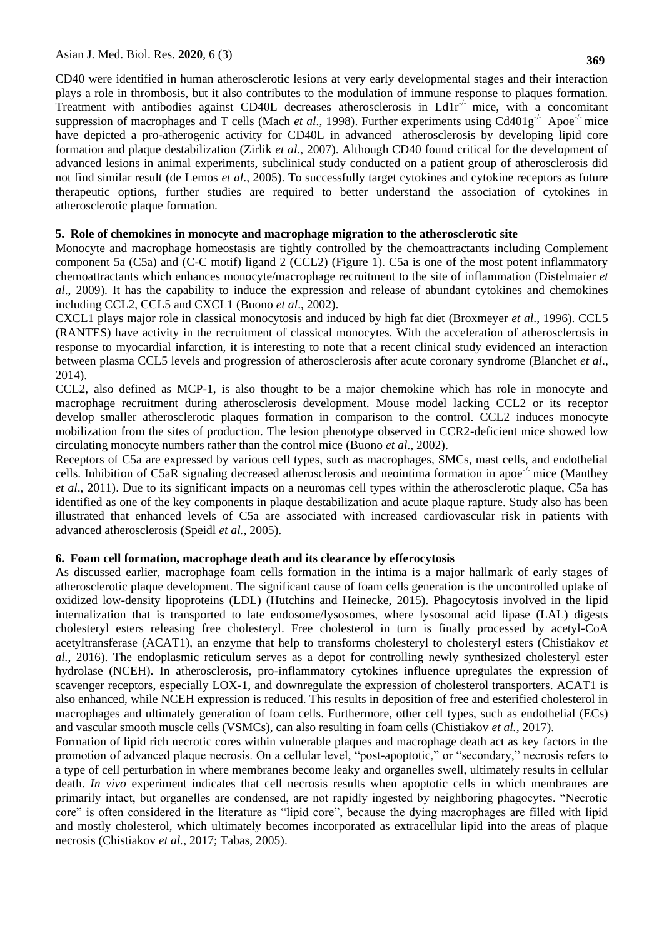**369**

CD40 were identified in human atherosclerotic lesions at very early developmental stages and their interaction plays a role in thrombosis, but it also contributes to the modulation of immune response to plaques formation. Treatment with antibodies against CD40L decreases atherosclerosis in  $L \frac{d}{dr}$  mice, with a concomitant suppression of macrophages and T cells (Mach *et al.*, 1998). Further experiments using Cd401g<sup>-/-</sup> Apoe<sup>-/-</sup> mice have depicted a pro-atherogenic activity for CD40L in advanced atherosclerosis by developing lipid core formation and plaque destabilization (Zirlik *et al*., 2007). Although CD40 found critical for the development of advanced lesions in animal experiments, subclinical study conducted on a patient group of atherosclerosis did not find similar result (de Lemos *et al*., 2005). To successfully target cytokines and cytokine receptors as future therapeutic options, further studies are required to better understand the association of cytokines in atherosclerotic plaque formation.

## **5. Role of chemokines in monocyte and macrophage migration to the atherosclerotic site**

Monocyte and macrophage homeostasis are tightly controlled by the chemoattractants including Complement component 5a (C5a) and (C-C motif) ligand 2 (CCL2) (Figure 1). C5a is one of the most potent inflammatory chemoattractants which enhances monocyte/macrophage recruitment to the site of inflammation (Distelmaier *et al*., 2009). It has the capability to induce the expression and release of abundant cytokines and chemokines including CCL2, CCL5 and CXCL1 (Buono *et al*., 2002).

CXCL1 plays major role in classical monocytosis and induced by high fat diet (Broxmeyer *et al*., 1996). CCL5 (RANTES) have activity in the recruitment of classical monocytes. With the acceleration of atherosclerosis in response to myocardial infarction, it is interesting to note that a recent clinical study evidenced an interaction between plasma CCL5 levels and progression of atherosclerosis after acute coronary syndrome (Blanchet *et al*., 2014).

CCL2, also defined as MCP-1, is also thought to be a major chemokine which has role in monocyte and macrophage recruitment during atherosclerosis development. Mouse model lacking CCL2 or its receptor develop smaller atherosclerotic plaques formation in comparison to the control. CCL2 induces monocyte mobilization from the sites of production. The lesion phenotype observed in CCR2-deficient mice showed low circulating monocyte numbers rather than the control mice (Buono *et al*., 2002).

Receptors of C5a are expressed by various cell types, such as macrophages, SMCs, mast cells, and endothelial cells. Inhibition of C5aR signaling decreased atherosclerosis and neointima formation in apoe<sup>-/-</sup> mice (Manthey *et al*., 2011). Due to its significant impacts on a neuromas cell types within the atherosclerotic plaque, C5a has identified as one of the key components in plaque destabilization and acute plaque rapture. Study also has been illustrated that enhanced levels of C5a are associated with increased cardiovascular risk in patients with advanced atherosclerosis (Speidl *et al.,* 2005).

## **6. Foam cell formation, macrophage death and its clearance by efferocytosis**

As discussed earlier, macrophage foam cells formation in the intima is a major hallmark of early stages of atherosclerotic plaque development. The significant cause of foam cells generation is the uncontrolled uptake of oxidized low-density lipoproteins (LDL) (Hutchins and Heinecke, 2015). Phagocytosis involved in the lipid internalization that is transported to late endosome/lysosomes, where lysosomal acid lipase (LAL) digests cholesteryl esters releasing free cholesteryl. Free cholesterol in turn is finally processed by acetyl-CoA acetyltransferase (ACAT1), an enzyme that help to transforms cholesteryl to cholesteryl esters (Chistiakov *et al.*, 2016). The endoplasmic reticulum serves as a depot for controlling newly synthesized cholesteryl ester hydrolase (NCEH). In atherosclerosis, pro-inflammatory cytokines influence upregulates the expression of scavenger receptors, especially LOX-1, and downregulate the expression of cholesterol transporters. ACAT1 is also enhanced, while NCEH expression is reduced. This results in deposition of free and esterified cholesterol in macrophages and ultimately generation of foam cells. Furthermore, other cell types, such as endothelial (ECs) and vascular smooth muscle cells (VSMCs), can also resulting in foam cells (Chistiakov *et al.*, 2017).

Formation of lipid rich necrotic cores within vulnerable plaques and macrophage death act as key factors in the promotion of advanced plaque necrosis. On a cellular level, "post-apoptotic," or "secondary," necrosis refers to a type of cell perturbation in where membranes become leaky and organelles swell, ultimately results in cellular death. *In vivo* experiment indicates that cell necrosis results when apoptotic cells in which membranes are primarily intact, but organelles are condensed, are not rapidly ingested by neighboring phagocytes. "Necrotic core" is often considered in the literature as "lipid core", because the dying macrophages are filled with lipid and mostly cholesterol, which ultimately becomes incorporated as extracellular lipid into the areas of plaque necrosis (Chistiakov *et al.*, 2017; Tabas, 2005).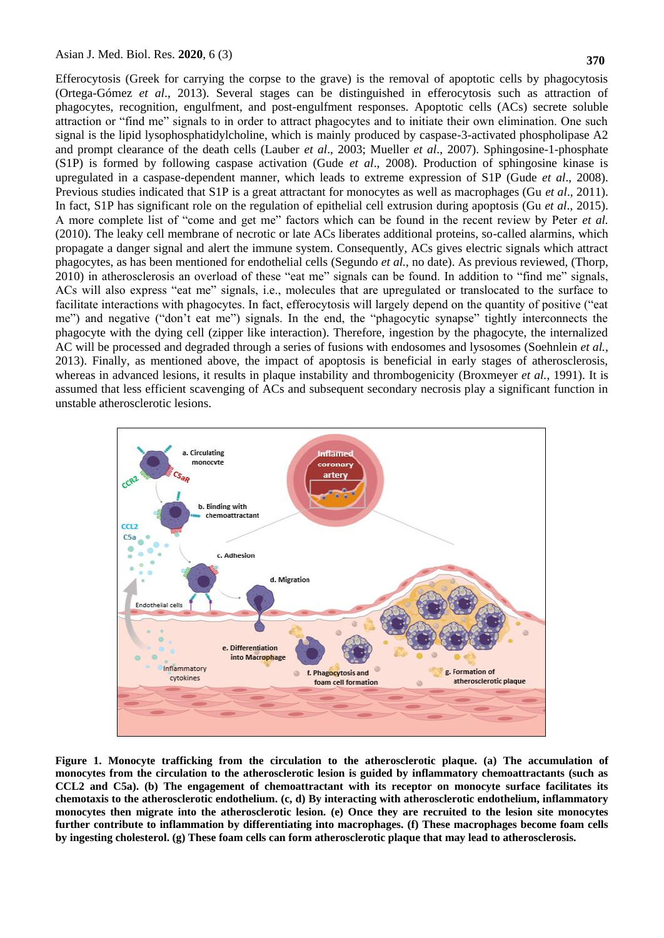Efferocytosis (Greek for carrying the corpse to the grave) is the removal of apoptotic cells by phagocytosis (Ortega-Gómez *et al*., 2013). Several stages can be distinguished in efferocytosis such as attraction of phagocytes, recognition, engulfment, and post-engulfment responses. Apoptotic cells (ACs) secrete soluble attraction or "find me" signals to in order to attract phagocytes and to initiate their own elimination. One such signal is the lipid lysophosphatidylcholine, which is mainly produced by caspase-3-activated phospholipase A2 and prompt clearance of the death cells (Lauber *et al*., 2003; Mueller *et al*., 2007). Sphingosine-1-phosphate (S1P) is formed by following caspase activation (Gude *et al*., 2008). Production of sphingosine kinase is upregulated in a caspase-dependent manner, which leads to extreme expression of S1P (Gude *et al*., 2008). Previous studies indicated that S1P is a great attractant for monocytes as well as macrophages (Gu *et al*., 2011). In fact, S1P has significant role on the regulation of epithelial cell extrusion during apoptosis (Gu *et al*., 2015). A more complete list of "come and get me" factors which can be found in the recent review by Peter *et al.* (2010). The leaky cell membrane of necrotic or late ACs liberates additional proteins, so-called alarmins, which propagate a danger signal and alert the immune system. Consequently, ACs gives electric signals which attract phagocytes, as has been mentioned for endothelial cells (Segundo *et al.*, no date). As previous reviewed, (Thorp, 2010) in atherosclerosis an overload of these "eat me" signals can be found. In addition to "find me" signals, ACs will also express "eat me" signals, i.e., molecules that are upregulated or translocated to the surface to facilitate interactions with phagocytes. In fact, efferocytosis will largely depend on the quantity of positive ("eat me") and negative ("don't eat me") signals. In the end, the "phagocytic synapse" tightly interconnects the phagocyte with the dying cell (zipper like interaction). Therefore, ingestion by the phagocyte, the internalized AC will be processed and degraded through a series of fusions with endosomes and lysosomes (Soehnlein *et al.*, 2013). Finally, as mentioned above, the impact of apoptosis is beneficial in early stages of atherosclerosis, whereas in advanced lesions, it results in plaque instability and thrombogenicity (Broxmeyer *et al.*, 1991). It is assumed that less efficient scavenging of ACs and subsequent secondary necrosis play a significant function in unstable atherosclerotic lesions.



**Figure 1. Monocyte trafficking from the circulation to the atherosclerotic plaque. (a) The accumulation of monocytes from the circulation to the atherosclerotic lesion is guided by inflammatory chemoattractants (such as CCL2 and C5a). (b) The engagement of chemoattractant with its receptor on monocyte surface facilitates its chemotaxis to the atherosclerotic endothelium. (c, d) By interacting with atherosclerotic endothelium, inflammatory monocytes then migrate into the atherosclerotic lesion. (e) Once they are recruited to the lesion site monocytes further contribute to inflammation by differentiating into macrophages. (f) These macrophages become foam cells by ingesting cholesterol. (g) These foam cells can form atherosclerotic plaque that may lead to atherosclerosis.**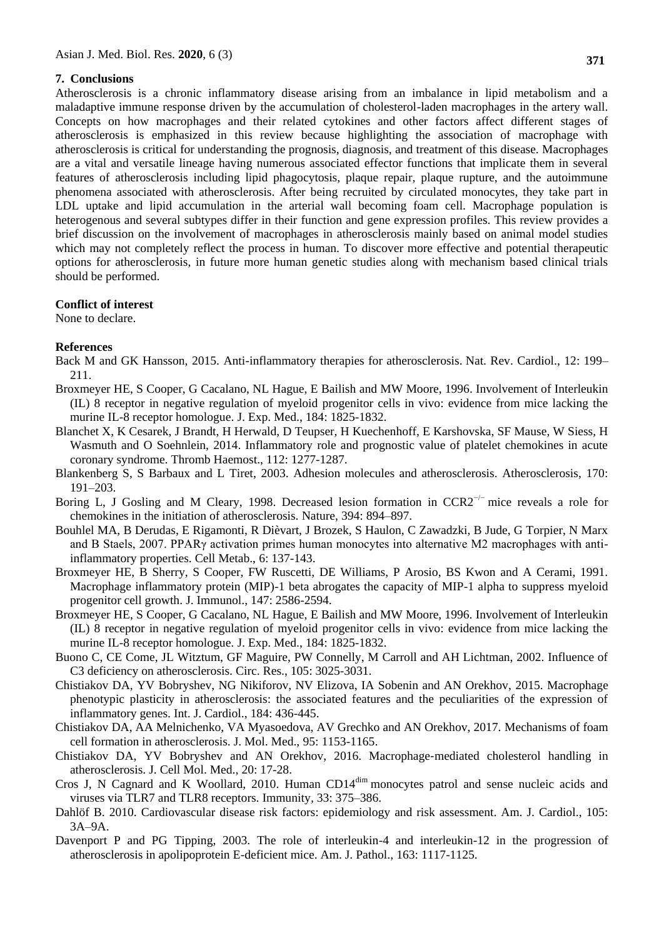## **7. Conclusions**

Atherosclerosis is a chronic inflammatory disease arising from an imbalance in lipid metabolism and a maladaptive immune response driven by the accumulation of cholesterol-laden macrophages in the artery wall. Concepts on how macrophages and their related cytokines and other factors affect different stages of atherosclerosis is emphasized in this review because highlighting the association of macrophage with atherosclerosis is critical for understanding the prognosis, diagnosis, and treatment of this disease. Macrophages are a vital and versatile lineage having numerous associated effector functions that implicate them in several features of atherosclerosis including lipid phagocytosis, plaque repair, plaque rupture, and the autoimmune phenomena associated with atherosclerosis. After being recruited by circulated monocytes, they take part in LDL uptake and lipid accumulation in the arterial wall becoming foam cell. Macrophage population is heterogenous and several subtypes differ in their function and gene expression profiles. This review provides a brief discussion on the involvement of macrophages in atherosclerosis mainly based on animal model studies which may not completely reflect the process in human. To discover more effective and potential therapeutic options for atherosclerosis, in future more human genetic studies along with mechanism based clinical trials should be performed.

## **Conflict of interest**

None to declare.

### **References**

- Back M and GK Hansson, 2015. Anti-inflammatory therapies for atherosclerosis. Nat. Rev. Cardiol., 12: 199– 211.
- Broxmeyer HE, S Cooper, G Cacalano, NL Hague, E Bailish and MW Moore, 1996. Involvement of Interleukin (IL) 8 receptor in negative regulation of myeloid progenitor cells in vivo: evidence from mice lacking the murine IL-8 receptor homologue. J. Exp. Med., 184: 1825-1832.
- Blanchet X, K Cesarek, J Brandt, H Herwald, D Teupser, H Kuechenhoff, E Karshovska, SF Mause, W Siess, H Wasmuth and O Soehnlein, 2014. Inflammatory role and prognostic value of platelet chemokines in acute coronary syndrome. Thromb Haemost., 112: 1277-1287.
- Blankenberg S, S Barbaux and L Tiret, 2003. Adhesion molecules and atherosclerosis. Atherosclerosis, 170: 191–203.
- Boring L, J Gosling and M Cleary, 1998. Decreased lesion formation in CCR2<sup>-/−</sup> mice reveals a role for chemokines in the initiation of atherosclerosis. Nature, 394: 894–897.
- Bouhlel MA, B Derudas, E Rigamonti, R Dièvart, J Brozek, S Haulon, C Zawadzki, B Jude, G Torpier, N Marx and B Staels, 2007. PPARγ activation primes human monocytes into alternative M2 macrophages with antiinflammatory properties. Cell Metab., 6: 137-143.
- Broxmeyer HE, B Sherry, S Cooper, FW Ruscetti, DE Williams, P Arosio, BS Kwon and A Cerami, 1991. Macrophage inflammatory protein (MIP)-1 beta abrogates the capacity of MIP-1 alpha to suppress myeloid progenitor cell growth. J. Immunol., 147: 2586-2594.
- Broxmeyer HE, S Cooper, G Cacalano, NL Hague, E Bailish and MW Moore, 1996. Involvement of Interleukin (IL) 8 receptor in negative regulation of myeloid progenitor cells in vivo: evidence from mice lacking the murine IL-8 receptor homologue. J. Exp. Med., 184: 1825-1832.
- Buono C, CE Come, JL Witztum, GF Maguire, PW Connelly, M Carroll and AH Lichtman, 2002. Influence of C3 deficiency on atherosclerosis. Circ. Res., 105: 3025-3031.
- Chistiakov DA, YV Bobryshev, NG Nikiforov, NV Elizova, IA Sobenin and AN Orekhov, 2015. Macrophage phenotypic plasticity in atherosclerosis: the associated features and the peculiarities of the expression of inflammatory genes. Int. J. Cardiol., 184: 436-445.
- Chistiakov DA, AA Melnichenko, VA Myasoedova, AV Grechko and AN Orekhov, 2017. Mechanisms of foam cell formation in atherosclerosis. J. Mol. Med., 95: 1153-1165.
- Chistiakov DA, YV Bobryshev and AN Orekhov, 2016. Macrophage‐mediated cholesterol handling in atherosclerosis. J. Cell Mol. Med., 20: 17-28.
- Cros J, N Cagnard and K Woollard, 2010. Human CD14dim monocytes patrol and sense nucleic acids and viruses via TLR7 and TLR8 receptors. Immunity*,* 33: 375–386.
- Dahlöf B. 2010. Cardiovascular disease risk factors: epidemiology and risk assessment. Am. J. Cardiol., 105: 3A–9A.
- Davenport P and PG Tipping, 2003. The role of interleukin-4 and interleukin-12 in the progression of atherosclerosis in apolipoprotein E-deficient mice. Am. J. Pathol., 163: 1117-1125.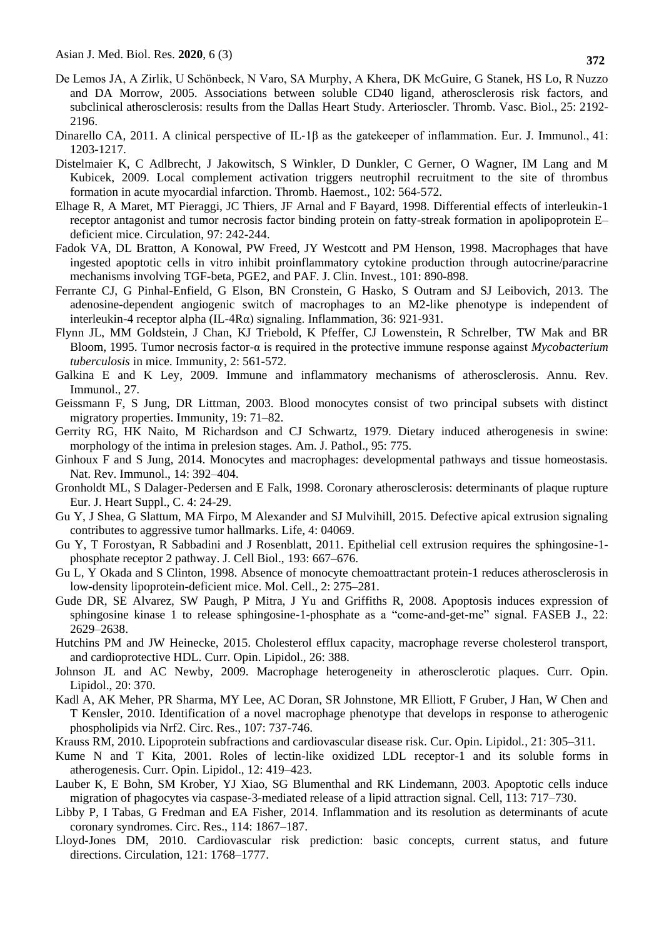- De Lemos JA, A Zirlik, U Schönbeck, N Varo, SA Murphy, A Khera, DK McGuire, G Stanek, HS Lo, R Nuzzo and DA Morrow, 2005. Associations between soluble CD40 ligand, atherosclerosis risk factors, and subclinical atherosclerosis: results from the Dallas Heart Study. Arterioscler. Thromb. Vasc. Biol., 25: 2192- 2196.
- Dinarello CA, 2011. A clinical perspective of IL-1 $\beta$  as the gatekeeper of inflammation. Eur. J. Immunol., 41: 1203-1217.
- Distelmaier K, C Adlbrecht, J Jakowitsch, S Winkler, D Dunkler, C Gerner, O Wagner, IM Lang and M Kubicek, 2009. Local complement activation triggers neutrophil recruitment to the site of thrombus formation in acute myocardial infarction. Thromb. Haemost., 102: 564-572.
- Elhage R, A Maret, MT Pieraggi, JC Thiers, JF Arnal and F Bayard, 1998. Differential effects of interleukin-1 receptor antagonist and tumor necrosis factor binding protein on fatty-streak formation in apolipoprotein E– deficient mice. Circulation, 97: 242-244.
- Fadok VA, DL Bratton, A Konowal, PW Freed, JY Westcott and PM Henson, 1998. Macrophages that have ingested apoptotic cells in vitro inhibit proinflammatory cytokine production through autocrine/paracrine mechanisms involving TGF-beta, PGE2, and PAF. J. Clin. Invest., 101: 890-898.
- Ferrante CJ, G Pinhal-Enfield, G Elson, BN Cronstein, G Hasko, S Outram and SJ Leibovich, 2013. The adenosine-dependent angiogenic switch of macrophages to an M2-like phenotype is independent of interleukin-4 receptor alpha (IL-4Rα) signaling. Inflammation, 36: 921-931.
- Flynn JL, MM Goldstein, J Chan, KJ Triebold, K Pfeffer, CJ Lowenstein, R Schrelber, TW Mak and BR Bloom, 1995. Tumor necrosis factor-α is required in the protective immune response against *Mycobacterium tuberculosis* in mice. Immunity, 2: 561-572.
- Galkina E and K Ley, 2009. Immune and inflammatory mechanisms of atherosclerosis. Annu. Rev. Immunol., 27.
- Geissmann F, S Jung, DR Littman, 2003. Blood monocytes consist of two principal subsets with distinct migratory properties. Immunity*,* 19: 71–82.
- Gerrity RG, HK Naito, M Richardson and CJ Schwartz, 1979. Dietary induced atherogenesis in swine: morphology of the intima in prelesion stages. Am. J. Pathol., 95: 775.
- Ginhoux F and S Jung, 2014. Monocytes and macrophages: developmental pathways and tissue homeostasis. Nat. Rev. Immunol., 14: 392–404.
- Gronholdt ML, S Dalager-Pedersen and E Falk, 1998. Coronary atherosclerosis: determinants of plaque rupture Eur. J. Heart Suppl., C. 4: 24-29.
- Gu Y, J Shea, G Slattum, MA Firpo, M Alexander and SJ Mulvihill, 2015. Defective apical extrusion signaling contributes to aggressive tumor hallmarks. Life, 4: 04069.
- Gu Y, T Forostyan, R Sabbadini and J Rosenblatt, 2011. Epithelial cell extrusion requires the sphingosine-1 phosphate receptor 2 pathway. J. Cell Biol., 193: 667–676.
- Gu L, Y Okada and S Clinton, 1998. Absence of monocyte chemoattractant protein-1 reduces atherosclerosis in low-density lipoprotein-deficient mice. Mol. Cell., 2: 275–281.
- Gude DR, SE Alvarez, SW Paugh, P Mitra, J Yu and Griffiths R, 2008. Apoptosis induces expression of sphingosine kinase 1 to release sphingosine-1-phosphate as a "come-and-get-me" signal. FASEB J., 22: 2629–2638.
- Hutchins PM and JW Heinecke, 2015. Cholesterol efflux capacity, macrophage reverse cholesterol transport, and cardioprotective HDL. Curr. Opin. Lipidol., 26: 388.
- Johnson JL and AC Newby, 2009. Macrophage heterogeneity in atherosclerotic plaques. Curr. Opin. Lipidol., 20: 370.
- Kadl A, AK Meher, PR Sharma, MY Lee, AC Doran, SR Johnstone, MR Elliott, F Gruber, J Han, W Chen and T Kensler, 2010. Identification of a novel macrophage phenotype that develops in response to atherogenic phospholipids via Nrf2. Circ. Res., 107: 737-746.
- Krauss RM, 2010. Lipoprotein subfractions and cardiovascular disease risk. Cur. Opin. Lipidol*.,* 21: 305–311.
- Kume N and T Kita, 2001. Roles of lectin-like oxidized LDL receptor-1 and its soluble forms in atherogenesis. Curr. Opin. Lipidol., 12: 419–423.
- Lauber K, E Bohn, SM Krober, YJ Xiao, SG Blumenthal and RK Lindemann, 2003. Apoptotic cells induce migration of phagocytes via caspase-3-mediated release of a lipid attraction signal. Cell, 113: 717–730.
- Libby P, I Tabas, G Fredman and EA Fisher, 2014. Inflammation and its resolution as determinants of acute coronary syndromes. Circ. Res., 114: 1867–187.
- Lloyd-Jones DM, 2010. Cardiovascular risk prediction: basic concepts, current status, and future directions. Circulation, 121: 1768–1777.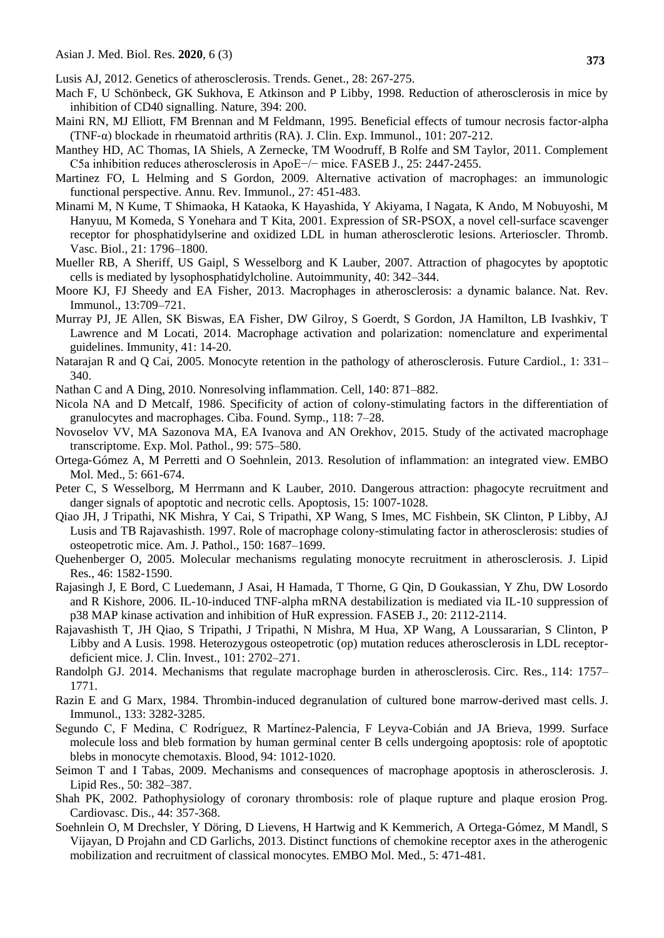- Lusis AJ, 2012. Genetics of atherosclerosis. Trends. Genet., 28: 267-275.
- Mach F, U Schönbeck, GK Sukhova, E Atkinson and P Libby, 1998. Reduction of atherosclerosis in mice by inhibition of CD40 signalling. Nature, 394: 200.
- Maini RN, MJ Elliott, FM Brennan and M Feldmann, 1995. Beneficial effects of tumour necrosis factor‐alpha (TNF- $\alpha$ ) blockade in rheumatoid arthritis (RA). J. Clin. Exp. Immunol., 101: 207-212.
- Manthey HD, AC Thomas, IA Shiels, A Zernecke, TM Woodruff, B Rolfe and SM Taylor, 2011. Complement C5a inhibition reduces atherosclerosis in ApoE−/− mice. FASEB J., 25: 2447-2455.
- Martinez FO, L Helming and S Gordon, 2009. Alternative activation of macrophages: an immunologic functional perspective. Annu. Rev. Immunol., 27: 451-483.
- Minami M, N Kume, T Shimaoka, H Kataoka, K Hayashida, Y Akiyama, I Nagata, K Ando, M Nobuyoshi, M Hanyuu, M Komeda, S Yonehara and T Kita, 2001. Expression of SR-PSOX, a novel cell-surface scavenger receptor for phosphatidylserine and oxidized LDL in human atherosclerotic lesions. Arterioscler. Thromb. Vasc. Biol., 21: 1796–1800.
- Mueller RB, A Sheriff, US Gaipl, S Wesselborg and K Lauber, 2007. Attraction of phagocytes by apoptotic cells is mediated by lysophosphatidylcholine. Autoimmunity, 40: 342–344.
- Moore KJ, FJ Sheedy and EA Fisher, 2013. Macrophages in atherosclerosis: a dynamic balance. Nat. Rev. Immunol., 13:709–721.
- Murray PJ, JE Allen, SK Biswas, EA Fisher, DW Gilroy, S Goerdt, S Gordon, JA Hamilton, LB Ivashkiv, T Lawrence and M Locati, 2014. Macrophage activation and polarization: nomenclature and experimental guidelines. Immunity, 41: 14-20.
- Natarajan R and Q Cai, 2005. Monocyte retention in the pathology of atherosclerosis. Future Cardiol., 1: 331– 340.
- Nathan C and A Ding, 2010. Nonresolving inflammation. Cell*,* 140: 871–882.
- Nicola NA and D Metcalf, 1986. Specificity of action of colony-stimulating factors in the differentiation of granulocytes and macrophages. Ciba. Found. Symp*.,* 118: 7–28.
- Novoselov VV, MA Sazonova MA, EA Ivanova and AN Orekhov, 2015. Study of the activated macrophage transcriptome. Exp. Mol. Pathol., 99: 575–580.
- Ortega‐Gómez A, M Perretti and O Soehnlein, 2013. Resolution of inflammation: an integrated view. EMBO Mol. Med., 5: 661-674.
- Peter C, S Wesselborg, M Herrmann and K Lauber, 2010. Dangerous attraction: phagocyte recruitment and danger signals of apoptotic and necrotic cells. Apoptosis, 15: 1007-1028.
- Qiao JH, J Tripathi, NK Mishra, Y Cai, S Tripathi, XP Wang, S Imes, MC Fishbein, SK Clinton, P Libby, AJ Lusis and TB Rajavashisth. 1997. Role of macrophage colony-stimulating factor in atherosclerosis: studies of osteopetrotic mice. Am. J. Pathol., 150: 1687–1699.
- Quehenberger O, 2005. Molecular mechanisms regulating monocyte recruitment in atherosclerosis. J. Lipid Res., 46: 1582-1590.
- Rajasingh J, E Bord, C Luedemann, J Asai, H Hamada, T Thorne, G Qin, D Goukassian, Y Zhu, DW Losordo and R Kishore, 2006. IL-10-induced TNF-alpha mRNA destabilization is mediated via IL-10 suppression of p38 MAP kinase activation and inhibition of HuR expression. FASEB J., 20: 2112-2114.
- Rajavashisth T, JH Qiao, S Tripathi, J Tripathi, N Mishra, M Hua, XP Wang, A Loussararian, S Clinton, P Libby and A Lusis. 1998. Heterozygous osteopetrotic (op) mutation reduces atherosclerosis in LDL receptordeficient mice. J. Clin. Invest., 101: 2702–271.
- Randolph GJ. 2014. Mechanisms that regulate macrophage burden in atherosclerosis. Circ. Res., 114: 1757– 1771.
- Razin E and G Marx, 1984. Thrombin-induced degranulation of cultured bone marrow-derived mast cells. J. Immunol., 133: 3282-3285.
- Segundo C, F Medina, C Rodríguez, R Martínez-Palencia, F Leyva-Cobián and JA Brieva, 1999. Surface molecule loss and bleb formation by human germinal center B cells undergoing apoptosis: role of apoptotic blebs in monocyte chemotaxis. Blood, 94: 1012-1020.
- Seimon T and I Tabas, 2009. Mechanisms and consequences of macrophage apoptosis in atherosclerosis. J. Lipid Res., 50: 382–387.
- Shah PK, 2002. Pathophysiology of coronary thrombosis: role of plaque rupture and plaque erosion Prog. Cardiovasc. Dis., 44: 357-368.
- Soehnlein O, M Drechsler, Y Döring, D Lievens, H Hartwig and K Kemmerich, A Ortega‐Gómez, M Mandl, S Vijayan, D Projahn and CD Garlichs, 2013. Distinct functions of chemokine receptor axes in the atherogenic mobilization and recruitment of classical monocytes. EMBO Mol. Med., 5: 471-481.